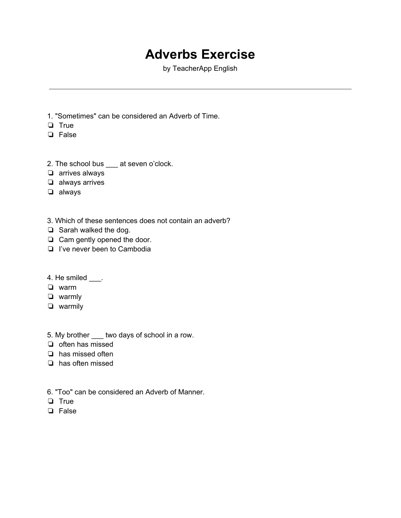## **Adverbs Exercise**

by TeacherApp English

- 1. "Sometimes" can be considered an Adverb of Time.
- ❏ True
- ❏ False
- 2. The school bus \_\_\_ at seven o'clock.
- ❏ arrives always
- ❏ always arrives
- ❏ always
- 3. Which of these sentences does not contain an adverb?
- ❏ Sarah walked the dog.
- ❏ Cam gently opened the door.
- ❏ I've never been to Cambodia
- 4. He smiled \_\_\_.
- ❏ warm
- ❏ warmly
- ❏ warmily
- 5. My brother \_\_\_ two days of school in a row.
- ❏ often has missed
- ❏ has missed often
- ❏ has often missed
- 6. "Too" can be considered an Adverb of Manner.
- ❏ True
- ❏ False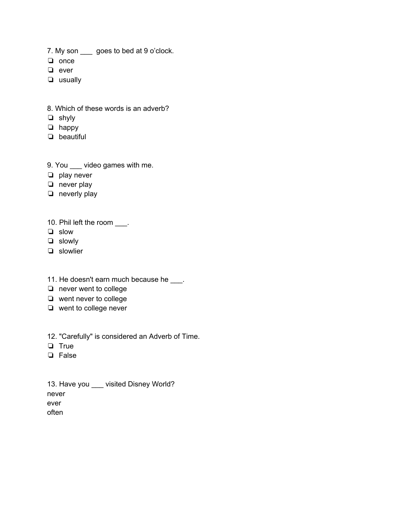- 7. My son \_\_\_ goes to bed at 9 o'clock.
- ❏ once
- ❏ ever
- ❏ usually
- 8. Which of these words is an adverb?
- ❏ shyly
- ❏ happy
- ❏ beautiful
- 9. You \_\_\_ video games with me.
- ❏ play never
- ❏ never play
- ❏ neverly play
- 10. Phil left the room \_\_\_.
- ❏ slow
- ❏ slowly
- ❏ slowlier
- 11. He doesn't earn much because he \_\_\_.
- ❏ never went to college
- ❏ went never to college
- ❏ went to college never
- 12. "Carefully" is considered an Adverb of Time.
- ❏ True
- ❏ False

13. Have you \_\_\_ visited Disney World? never ever often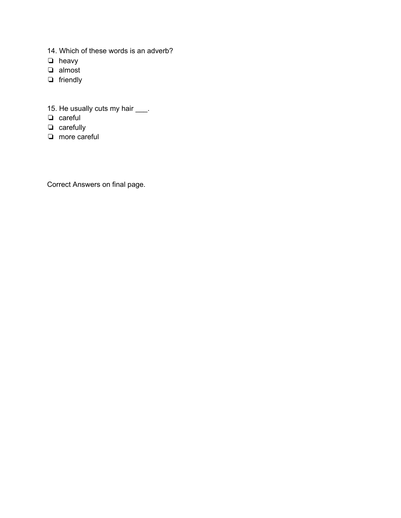- 14. Which of these words is an adverb?
- ❏ heavy
- ❏ almost
- ❏ friendly
- 15. He usually cuts my hair \_\_\_\_.
- ❏ careful
- ❏ carefully
- ❏ more careful

Correct Answers on final page.